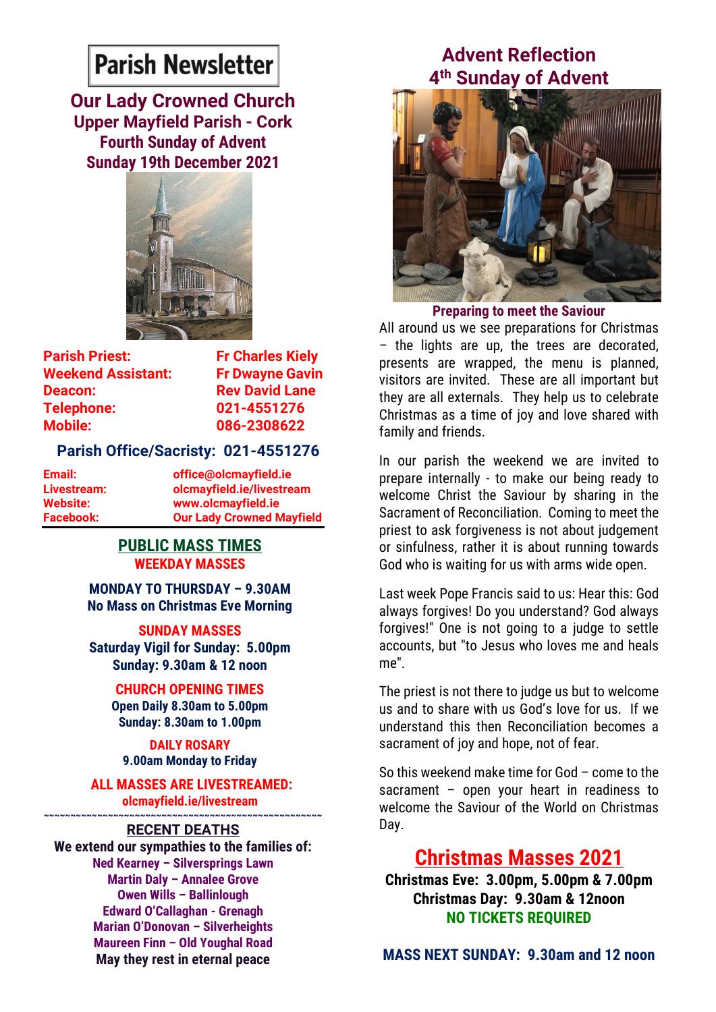# **Parish Newsletter**

**Our Lady Crowned Church Upper Mayfield Parish - Cork Fourth Sunday of Advent Sunday 19th December 2021**



**Parish Priest:** Fr Charles Kiely **Weekend Assistant: Fr Dwayne Gavin Deacon:** Rev David Lane **Telephone: 021-4551276 Mobile: 086-2308622** 

#### **Parish Office/Sacristy: 021-4551276**

**Email: office@olcmayfield.ie Livestream: olcmayfield.ie/livestream Website: www.olcmayfield.ie Facebook: Our Lady Crowned Mayfield**

#### **PUBLIC MASS TIMES WEEKDAY MASSES**

**MONDAY TO THURSDAY – 9.30AM No Mass on Christmas Eve Morning** 

**SUNDAY MASSES**

**Saturday Vigil for Sunday: 5.00pm Sunday: 9.30am & 12 noon**

> **CHURCH OPENING TIMES Open Daily 8.30am to 5.00pm Sunday: 8.30am to 1.00pm**

**DAILY ROSARY 9.00am Monday to Friday**

**ALL MASSES ARE LIVESTREAMED: olcmayfield.ie/livestream**

#### **~~~~~~~~~~~~~~~~~~~~~~~~~~~~~~~~~~~~~~~~~~~~~~~~~~~~ RECENT DEATHS**

**We extend our sympathies to the families of: Ned Kearney – Silversprings Lawn Martin Daly – Annalee Grove Owen Wills – Ballinlough Edward O'Callaghan - Grenagh Marian O'Donovan – Silverheights Maureen Finn – Old Youghal Road May they rest in eternal peace**

### **Advent Reflection 4 th Sunday of Advent**



**Preparing to meet the Saviour**

All around us we see preparations for Christmas – the lights are up, the trees are decorated, presents are wrapped, the menu is planned, visitors are invited. These are all important but they are all externals. They help us to celebrate Christmas as a time of joy and love shared with family and friends.

In our parish the weekend we are invited to prepare internally - to make our being ready to welcome Christ the Saviour by sharing in the Sacrament of Reconciliation. Coming to meet the priest to ask forgiveness is not about judgement or sinfulness, rather it is about running towards God who is waiting for us with arms wide open.

Last week Pope Francis said to us: Hear this: God always forgives! Do you understand? God always forgives!" One is not going to a judge to settle accounts, but "to Jesus who loves me and heals me".

The priest is not there to judge us but to welcome us and to share with us God's love for us. If we understand this then Reconciliation becomes a sacrament of joy and hope, not of fear.

So this weekend make time for God – come to the sacrament – open your heart in readiness to welcome the Saviour of the World on Christmas Day.

## **Christmas Masses 2021**

**Christmas Eve: 3.00pm, 5.00pm & 7.00pm Christmas Day: 9.30am & 12noon NO TICKETS REQUIRED**

**MASS NEXT SUNDAY: 9.30am and 12 noon**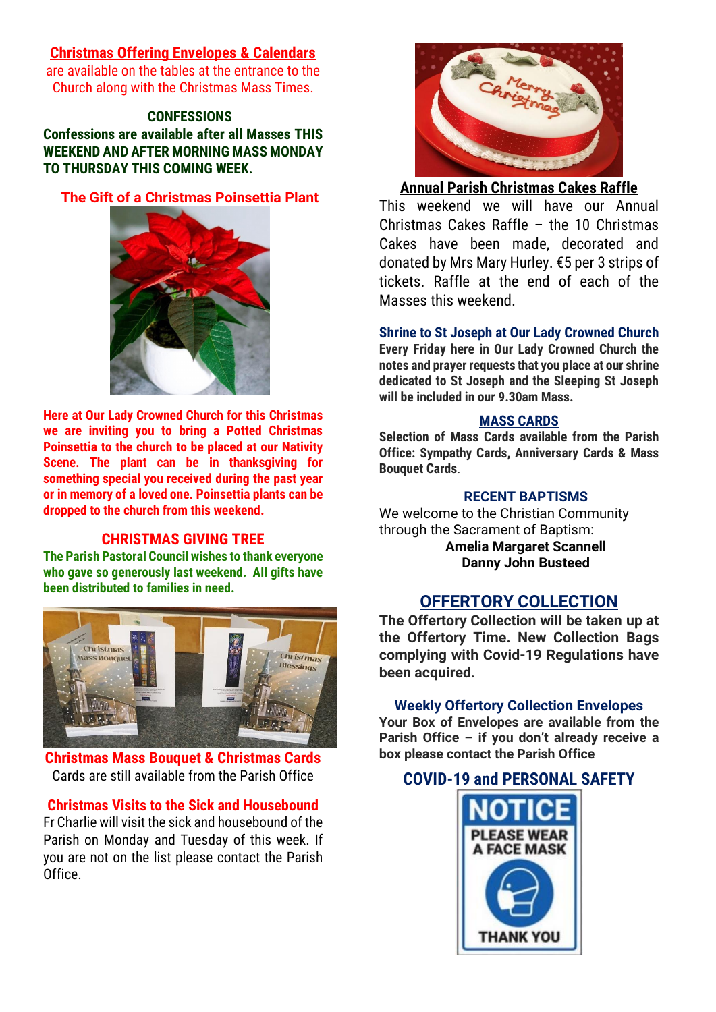#### **Christmas Offering Envelopes & Calendars**

are available on the tables at the entrance to the Church along with the Christmas Mass Times.

#### **CONFESSIONS**

**Confessions are available after all Masses THIS WEEKEND AND AFTER MORNING MASS MONDAY TO THURSDAY THIS COMING WEEK.**

#### **The Gift of a Christmas Poinsettia Plant**



**Here at Our Lady Crowned Church for this Christmas we are inviting you to bring a Potted Christmas Poinsettia to the church to be placed at our Nativity Scene. The plant can be in thanksgiving for something special you received during the past year or in memory of a loved one. Poinsettia plants can be dropped to the church from this weekend.**

#### **CHRISTMAS GIVING TREE**

**The Parish Pastoral Council wishes to thank everyone who gave so generously last weekend. All gifts have been distributed to families in need.**



#### **Christmas Mass Bouquet & Christmas Cards** Cards are still available from the Parish Office

#### **Christmas Visits to the Sick and Housebound**

Fr Charlie will visit the sick and housebound of the Parish on Monday and Tuesday of this week. If you are not on the list please contact the Parish Office.



#### **Annual Parish Christmas Cakes Raffle**

This weekend we will have our Annual Christmas Cakes Raffle – the 10 Christmas Cakes have been made, decorated and donated by Mrs Mary Hurley. €5 per 3 strips of tickets. Raffle at the end of each of the Masses this weekend.

#### **Shrine to St Joseph at Our Lady Crowned Church**

**Every Friday here in Our Lady Crowned Church the notes and prayer requests that you place at our shrine dedicated to St Joseph and the Sleeping St Joseph will be included in our 9.30am Mass.** 

#### **MASS CARDS**

**Selection of Mass Cards available from the Parish Office: Sympathy Cards, Anniversary Cards & Mass Bouquet Cards**.

#### **RECENT BAPTISMS**

We welcome to the Christian Community through the Sacrament of Baptism:

> **Amelia Margaret Scannell Danny John Busteed**

#### **OFFERTORY COLLECTION**

**The Offertory Collection will be taken up at the Offertory Time. New Collection Bags complying with Covid-19 Regulations have been acquired.** 

#### **Weekly Offertory Collection Envelopes**

**Your Box of Envelopes are available from the Parish Office – if you don't already receive a box please contact the Parish Office**

#### **COVID-19 and PERSONAL SAFETY**

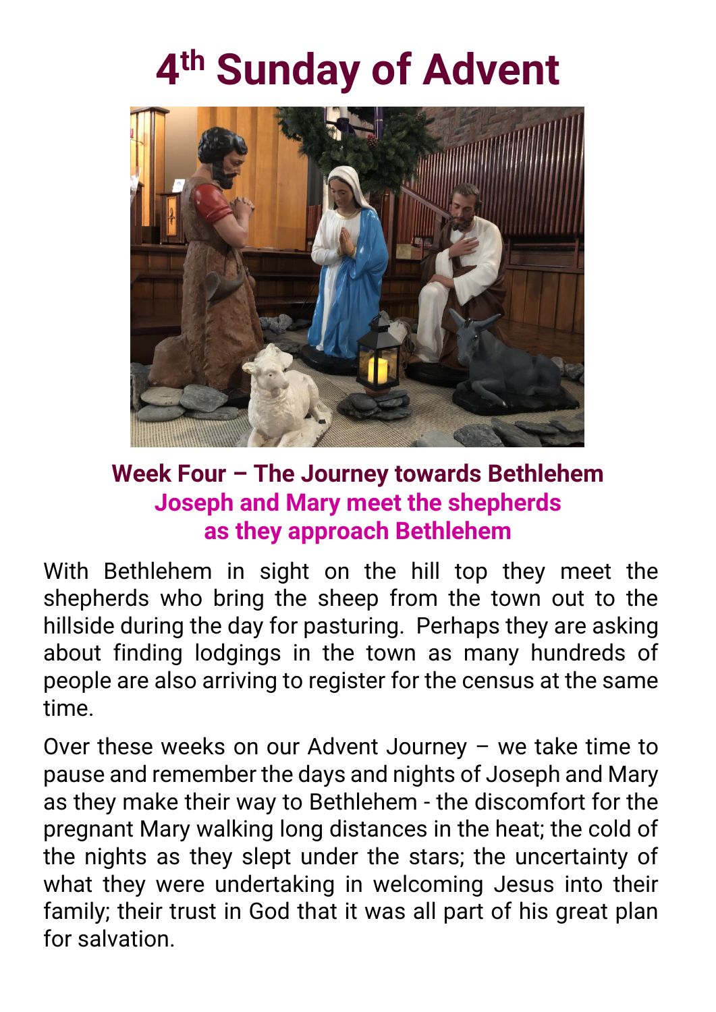# **4 th Sunday of Advent**



# **Week Four – The Journey towards Bethlehem Joseph and Mary meet the shepherds as they approach Bethlehem**

With Bethlehem in sight on the hill top they meet the shepherds who bring the sheep from the town out to the hillside during the day for pasturing. Perhaps they are asking about finding lodgings in the town as many hundreds of people are also arriving to register for the census at the same time.

Over these weeks on our Advent Journey – we take time to pause and remember the days and nights of Joseph and Mary as they make their way to Bethlehem - the discomfort for the pregnant Mary walking long distances in the heat; the cold of the nights as they slept under the stars; the uncertainty of what they were undertaking in welcoming Jesus into their family; their trust in God that it was all part of his great plan for salvation.